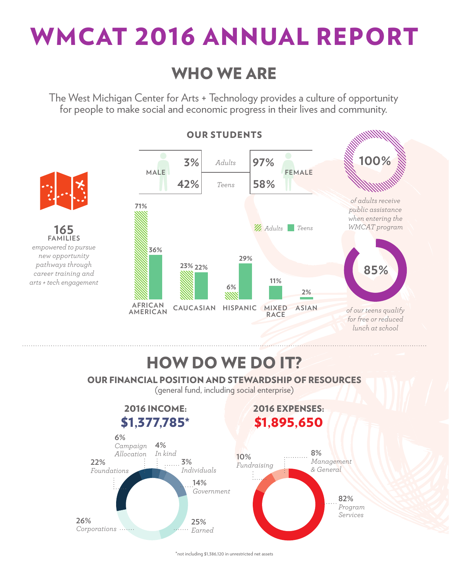

### WHO WE ARE

The West Michigan Center for Arts + Technology provides a culture of opportunity for people to make social and economic progress in their lives and community.



\*not including \$1,386,120 in unrestricted net assets